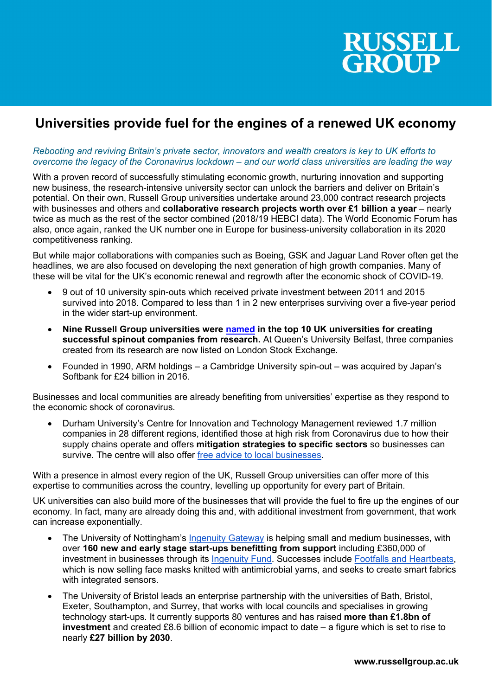

## Universities provide fuel for the engines of a renewed UK economy

## Rebooting and reviving Britain's private sector, innovators and wealth creators is key to UK efforts to overcome the legacy of the Coronavirus lockdown – and our world class universities are leading the way

With a proven record of successfully stimulating economic growth, nurturing innovation and supporting new business, the research-intensive university sector can unlock the barriers and deliver on Britain's potential. On their own, Russell Group universities undertake around 23,000 contract research projects with businesses and others and collaborative research projects worth over £1 billion a year – nearly twice as much as the rest of the sector combined (2018/19 HEBCI data). The World Economic Forum has also, once again, ranked the UK number one in Europe for business-university collaboration in its 2020 competitiveness ranking.

But while major collaborations with companies such as Boeing, GSK and Jaguar Land Rover often get the headlines, we are also focused on developing the next generation of high growth companies. Many of these will be vital for the UK's economic renewal and regrowth after the economic shock of COVID-19.

- 9 out of 10 university spin-outs which received private investment between 2011 and 2015 survived into 2018. Compared to less than 1 in 2 new enterprises surviving over a five-year period in the wider start-up environment.
- Nine Russell Group universities were named in the top 10 UK universities for creating successful spinout companies from research. At Queen's University Belfast, three companies created from its research are now listed on London Stock Exchange.
- Founded in 1990, ARM holdings a Cambridge University spin-out was acquired by Japan's Softbank for £24 billion in 2016.

Businesses and local communities are already benefiting from universities' expertise as they respond to the economic shock of coronavirus.

 Durham University's Centre for Innovation and Technology Management reviewed 1.7 million companies in 28 different regions, identified those at high risk from Coronavirus due to how their supply chains operate and offers mitigation strategies to specific sectors so businesses can survive. The centre will also offer free advice to local businesses.

With a presence in almost every region of the UK, Russell Group universities can offer more of this expertise to communities across the country, levelling up opportunity for every part of Britain.

UK universities can also build more of the businesses that will provide the fuel to fire up the engines of our economy. In fact, many are already doing this and, with additional investment from government, that work can increase exponentially.

- The University of Nottingham's Ingenuity Gateway is helping small and medium businesses, with over 160 new and early stage start-ups benefitting from support including £360,000 of investment in businesses through its Ingenuity Fund. Successes include Footfalls and Heartbeats, which is now selling face masks knitted with antimicrobial yarns, and seeks to create smart fabrics with integrated sensors.
- The University of Bristol leads an enterprise partnership with the universities of Bath, Bristol, Exeter, Southampton, and Surrey, that works with local councils and specialises in growing technology start-ups. It currently supports 80 ventures and has raised more than £1.8bn of investment and created £8.6 billion of economic impact to date – a figure which is set to rise to nearly £27 billion by 2030.